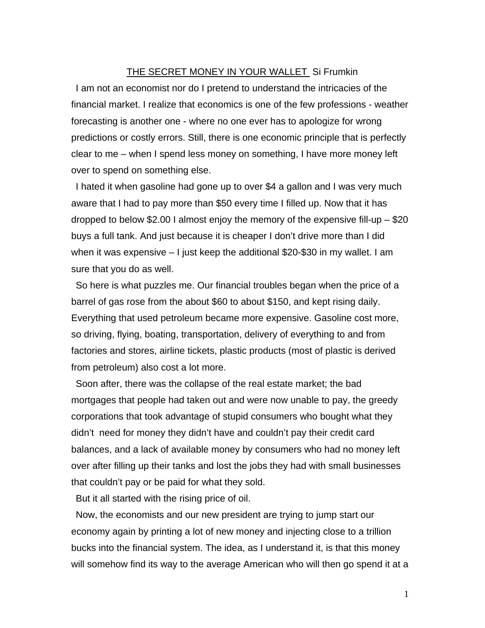## THE SECRET MONEY IN YOUR WALLET Si Frumkin

I am not an economist nor do I pretend to understand the intricacies of the financial market. I realize that economics is one of the few professions - weather forecasting is another one - where no one ever has to apologize for wrong predictions or costly errors. Still, there is one economic principle that is perfectly clear to me – when I spend less money on something, I have more money left over to spend on something else.

I hated it when gasoline had gone up to over \$4 a gallon and I was very much aware that I had to pay more than \$50 every time I filled up. Now that it has dropped to below \$2.00 I almost enjoy the memory of the expensive fill-up – \$20 buys a full tank. And just because it is cheaper I don't drive more than I did when it was expensive – I just keep the additional \$20-\$30 in my wallet. I am sure that you do as well.

So here is what puzzles me. Our financial troubles began when the price of a barrel of gas rose from the about \$60 to about \$150, and kept rising daily. Everything that used petroleum became more expensive. Gasoline cost more, so driving, flying, boating, transportation, delivery of everything to and from factories and stores, airline tickets, plastic products (most of plastic is derived from petroleum) also cost a lot more.

Soon after, there was the collapse of the real estate market; the bad mortgages that people had taken out and were now unable to pay, the greedy corporations that took advantage of stupid consumers who bought what they didn't need for money they didn't have and couldn't pay their credit card balances, and a lack of available money by consumers who had no money left over after filling up their tanks and lost the jobs they had with small businesses that couldn't pay or be paid for what they sold.

But it all started with the rising price of oil.

Now, the economists and our new president are trying to jump start our economy again by printing a lot of new money and injecting close to a trillion bucks into the financial system. The idea, as I understand it, is that this money will somehow find its way to the average American who will then go spend it at a

1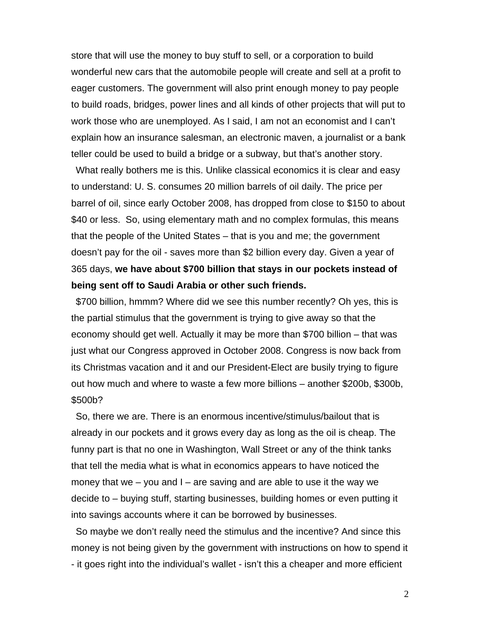store that will use the money to buy stuff to sell, or a corporation to build wonderful new cars that the automobile people will create and sell at a profit to eager customers. The government will also print enough money to pay people to build roads, bridges, power lines and all kinds of other projects that will put to work those who are unemployed. As I said, I am not an economist and I can't explain how an insurance salesman, an electronic maven, a journalist or a bank teller could be used to build a bridge or a subway, but that's another story.

What really bothers me is this. Unlike classical economics it is clear and easy to understand: U. S. consumes 20 million barrels of oil daily. The price per barrel of oil, since early October 2008, has dropped from close to \$150 to about \$40 or less. So, using elementary math and no complex formulas, this means that the people of the United States – that is you and me; the government doesn't pay for the oil - saves more than \$2 billion every day. Given a year of 365 days, **we have about \$700 billion that stays in our pockets instead of being sent off to Saudi Arabia or other such friends.** 

\$700 billion, hmmm? Where did we see this number recently? Oh yes, this is the partial stimulus that the government is trying to give away so that the economy should get well. Actually it may be more than \$700 billion – that was just what our Congress approved in October 2008. Congress is now back from its Christmas vacation and it and our President-Elect are busily trying to figure out how much and where to waste a few more billions – another \$200b, \$300b, \$500b?

So, there we are. There is an enormous incentive/stimulus/bailout that is already in our pockets and it grows every day as long as the oil is cheap. The funny part is that no one in Washington, Wall Street or any of the think tanks that tell the media what is what in economics appears to have noticed the money that we  $-$  you and  $I -$  are saving and are able to use it the way we decide to – buying stuff, starting businesses, building homes or even putting it into savings accounts where it can be borrowed by businesses.

So maybe we don't really need the stimulus and the incentive? And since this money is not being given by the government with instructions on how to spend it - it goes right into the individual's wallet - isn't this a cheaper and more efficient

2